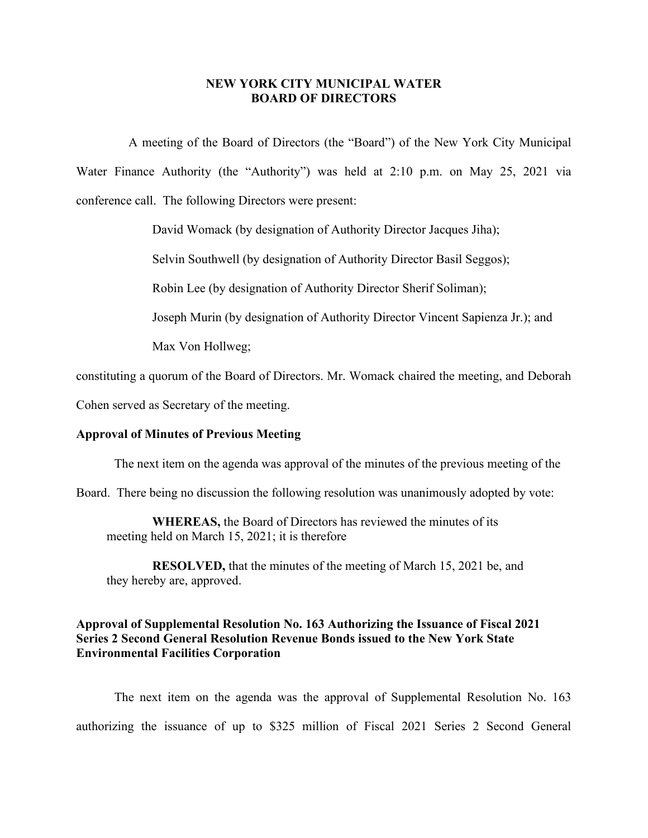#### **NEW YORK CITY MUNICIPAL WATER BOARD OF DIRECTORS**

A meeting of the Board of Directors (the "Board") of the New York City Municipal Water Finance Authority (the "Authority") was held at 2:10 p.m. on May 25, 2021 via conference call. The following Directors were present:

David Womack (by designation of Authority Director Jacques Jiha);

Selvin Southwell (by designation of Authority Director Basil Seggos);

Robin Lee (by designation of Authority Director Sherif Soliman);

Joseph Murin (by designation of Authority Director Vincent Sapienza Jr.); and

Max Von Hollweg;

constituting a quorum of the Board of Directors. Mr. Womack chaired the meeting, and Deborah

Cohen served as Secretary of the meeting.

#### **Approval of Minutes of Previous Meeting**

The next item on the agenda was approval of the minutes of the previous meeting of the

Board. There being no discussion the following resolution was unanimously adopted by vote:

**WHEREAS,** the Board of Directors has reviewed the minutes of its meeting held on March 15, 2021; it is therefore

**RESOLVED,** that the minutes of the meeting of March 15, 2021 be, and they hereby are, approved.

#### **Approval of Supplemental Resolution No. 163 Authorizing the Issuance of Fiscal 2021 Series 2 Second General Resolution Revenue Bonds issued to the New York State Environmental Facilities Corporation**

The next item on the agenda was the approval of Supplemental Resolution No. 163 authorizing the issuance of up to \$325 million of Fiscal 2021 Series 2 Second General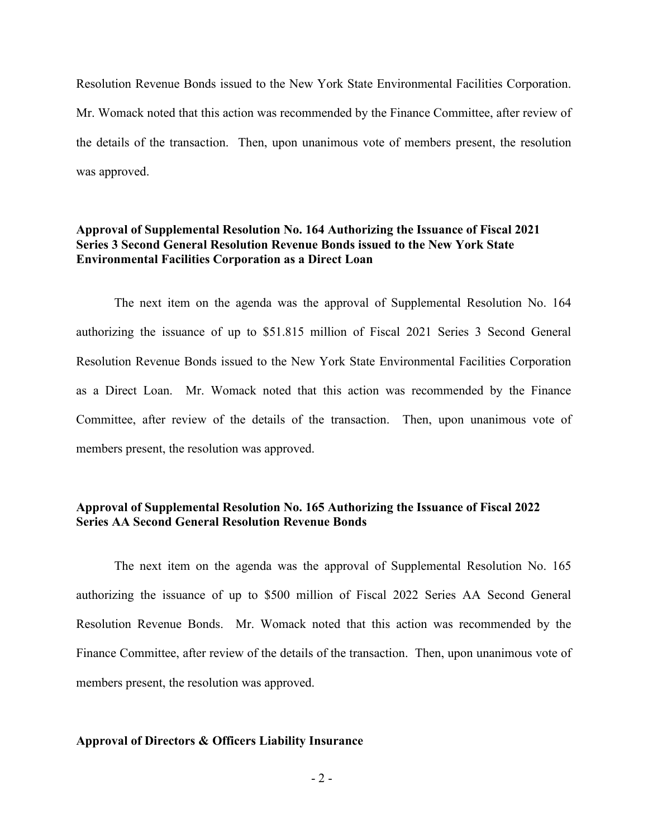Resolution Revenue Bonds issued to the New York State Environmental Facilities Corporation. Mr. Womack noted that this action was recommended by the Finance Committee, after review of the details of the transaction. Then, upon unanimous vote of members present, the resolution was approved.

### **Approval of Supplemental Resolution No. 164 Authorizing the Issuance of Fiscal 2021 Series 3 Second General Resolution Revenue Bonds issued to the New York State Environmental Facilities Corporation as a Direct Loan**

The next item on the agenda was the approval of Supplemental Resolution No. 164 authorizing the issuance of up to \$51.815 million of Fiscal 2021 Series 3 Second General Resolution Revenue Bonds issued to the New York State Environmental Facilities Corporation as a Direct Loan. Mr. Womack noted that this action was recommended by the Finance Committee, after review of the details of the transaction. Then, upon unanimous vote of members present, the resolution was approved.

### **Approval of Supplemental Resolution No. 165 Authorizing the Issuance of Fiscal 2022 Series AA Second General Resolution Revenue Bonds**

The next item on the agenda was the approval of Supplemental Resolution No. 165 authorizing the issuance of up to \$500 million of Fiscal 2022 Series AA Second General Resolution Revenue Bonds. Mr. Womack noted that this action was recommended by the Finance Committee, after review of the details of the transaction. Then, upon unanimous vote of members present, the resolution was approved.

#### **Approval of Directors & Officers Liability Insurance**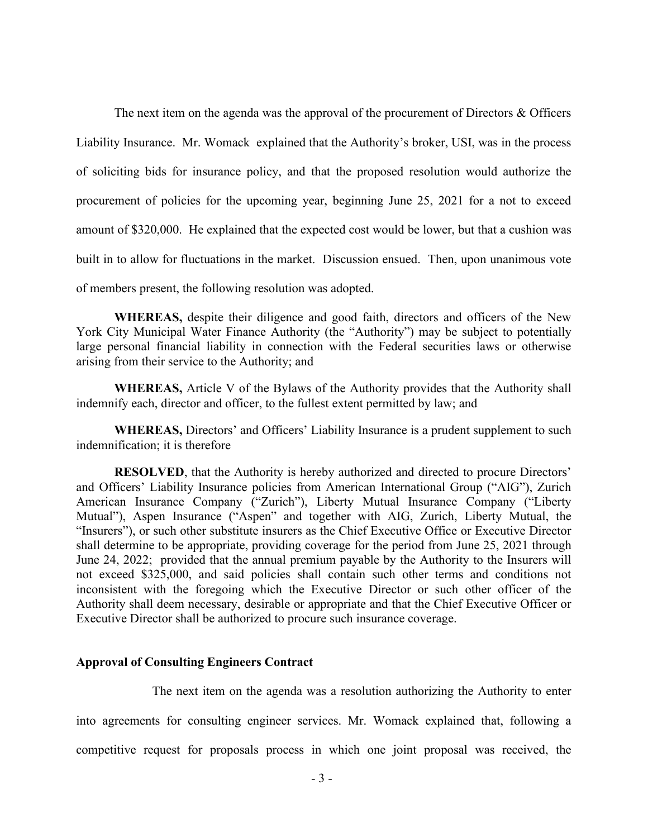The next item on the agenda was the approval of the procurement of Directors & Officers Liability Insurance. Mr. Womack explained that the Authority's broker, USI, was in the process of soliciting bids for insurance policy, and that the proposed resolution would authorize the procurement of policies for the upcoming year, beginning June 25, 2021 for a not to exceed amount of \$320,000. He explained that the expected cost would be lower, but that a cushion was built in to allow for fluctuations in the market. Discussion ensued. Then, upon unanimous vote of members present, the following resolution was adopted.

**WHEREAS,** despite their diligence and good faith, directors and officers of the New York City Municipal Water Finance Authority (the "Authority") may be subject to potentially large personal financial liability in connection with the Federal securities laws or otherwise arising from their service to the Authority; and

**WHEREAS,** Article V of the Bylaws of the Authority provides that the Authority shall indemnify each, director and officer, to the fullest extent permitted by law; and

**WHEREAS,** Directors' and Officers' Liability Insurance is a prudent supplement to such indemnification; it is therefore

**RESOLVED**, that the Authority is hereby authorized and directed to procure Directors' and Officers' Liability Insurance policies from American International Group ("AIG"), Zurich American Insurance Company ("Zurich"), Liberty Mutual Insurance Company ("Liberty Mutual"), Aspen Insurance ("Aspen" and together with AIG, Zurich, Liberty Mutual, the "Insurers"), or such other substitute insurers as the Chief Executive Office or Executive Director shall determine to be appropriate, providing coverage for the period from June 25, 2021 through June 24, 2022; provided that the annual premium payable by the Authority to the Insurers will not exceed \$325,000, and said policies shall contain such other terms and conditions not inconsistent with the foregoing which the Executive Director or such other officer of the Authority shall deem necessary, desirable or appropriate and that the Chief Executive Officer or Executive Director shall be authorized to procure such insurance coverage.

#### **Approval of Consulting Engineers Contract**

The next item on the agenda was a resolution authorizing the Authority to enter into agreements for consulting engineer services. Mr. Womack explained that, following a competitive request for proposals process in which one joint proposal was received, the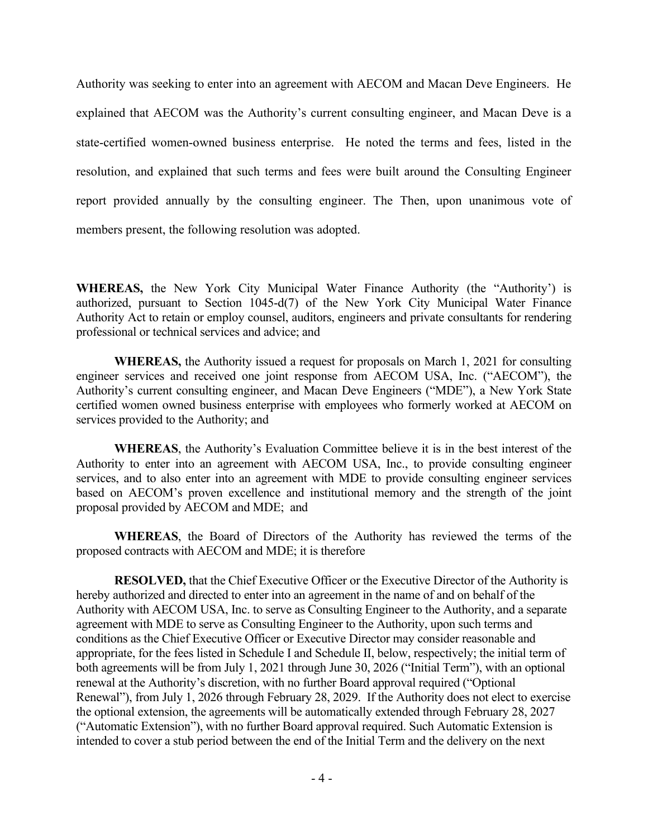Authority was seeking to enter into an agreement with AECOM and Macan Deve Engineers. He explained that AECOM was the Authority's current consulting engineer, and Macan Deve is a state-certified women-owned business enterprise. He noted the terms and fees, listed in the resolution, and explained that such terms and fees were built around the Consulting Engineer report provided annually by the consulting engineer. The Then, upon unanimous vote of members present, the following resolution was adopted.

**WHEREAS,** the New York City Municipal Water Finance Authority (the "Authority') is authorized, pursuant to Section 1045-d(7) of the New York City Municipal Water Finance Authority Act to retain or employ counsel, auditors, engineers and private consultants for rendering professional or technical services and advice; and

**WHEREAS,** the Authority issued a request for proposals on March 1, 2021 for consulting engineer services and received one joint response from AECOM USA, Inc. ("AECOM"), the Authority's current consulting engineer, and Macan Deve Engineers ("MDE"), a New York State certified women owned business enterprise with employees who formerly worked at AECOM on services provided to the Authority; and

**WHEREAS**, the Authority's Evaluation Committee believe it is in the best interest of the Authority to enter into an agreement with AECOM USA, Inc., to provide consulting engineer services, and to also enter into an agreement with MDE to provide consulting engineer services based on AECOM's proven excellence and institutional memory and the strength of the joint proposal provided by AECOM and MDE; and

**WHEREAS**, the Board of Directors of the Authority has reviewed the terms of the proposed contracts with AECOM and MDE; it is therefore

**RESOLVED,** that the Chief Executive Officer or the Executive Director of the Authority is hereby authorized and directed to enter into an agreement in the name of and on behalf of the Authority with AECOM USA, Inc. to serve as Consulting Engineer to the Authority, and a separate agreement with MDE to serve as Consulting Engineer to the Authority, upon such terms and conditions as the Chief Executive Officer or Executive Director may consider reasonable and appropriate, for the fees listed in Schedule I and Schedule II, below, respectively; the initial term of both agreements will be from July 1, 2021 through June 30, 2026 ("Initial Term"), with an optional renewal at the Authority's discretion, with no further Board approval required ("Optional Renewal"), from July 1, 2026 through February 28, 2029. If the Authority does not elect to exercise the optional extension, the agreements will be automatically extended through February 28, 2027 ("Automatic Extension"), with no further Board approval required. Such Automatic Extension is intended to cover a stub period between the end of the Initial Term and the delivery on the next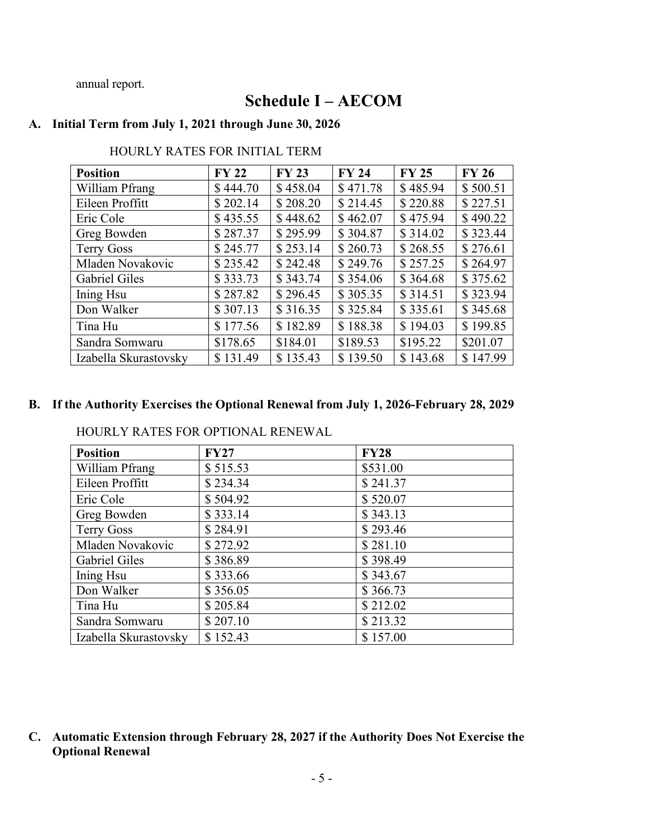annual report.

# **Schedule I – AECOM**

# **A. Initial Term from July 1, 2021 through June 30, 2026**

| <b>Position</b>       | <b>FY 22</b> | <b>FY 23</b> | <b>FY 24</b> | <b>FY 25</b> | <b>FY 26</b> |
|-----------------------|--------------|--------------|--------------|--------------|--------------|
| William Pfrang        | \$444.70     | \$458.04     | \$471.78     | \$485.94     | \$500.51     |
| Eileen Proffitt       | \$202.14     | \$208.20     | \$214.45     | \$220.88     | \$227.51     |
| Eric Cole             | \$435.55     | \$448.62     | \$462.07     | \$475.94     | \$490.22     |
| Greg Bowden           | \$287.37     | \$295.99     | \$304.87     | \$314.02     | \$323.44     |
| <b>Terry Goss</b>     | \$245.77     | \$253.14     | \$260.73     | \$268.55     | \$276.61     |
| Mladen Novakovic      | \$235.42     | \$242.48     | \$249.76     | \$257.25     | \$264.97     |
| <b>Gabriel Giles</b>  | \$333.73     | \$343.74     | \$354.06     | \$364.68     | \$375.62     |
| Ining Hsu             | \$287.82     | \$296.45     | \$305.35     | \$314.51     | \$323.94     |
| Don Walker            | \$307.13     | \$316.35     | \$325.84     | \$335.61     | \$345.68     |
| Tina Hu               | \$177.56     | \$182.89     | \$188.38     | \$194.03     | \$199.85     |
| Sandra Somwaru        | \$178.65     | \$184.01     | \$189.53     | \$195.22     | \$201.07     |
| Izabella Skurastovsky | \$131.49     | \$135.43     | \$139.50     | \$143.68     | \$147.99     |

### HOURLY RATES FOR INITIAL TERM

# **B. If the Authority Exercises the Optional Renewal from July 1, 2026-February 28, 2029**

HOURLY RATES FOR OPTIONAL RENEWAL

| <b>Position</b>       | <b>FY27</b> | <b>FY28</b> |
|-----------------------|-------------|-------------|
| William Pfrang        | \$515.53    | \$531.00    |
| Eileen Proffitt       | \$234.34    | \$241.37    |
| Eric Cole             | \$504.92    | \$520.07    |
| Greg Bowden           | \$333.14    | \$343.13    |
| <b>Terry Goss</b>     | \$284.91    | \$293.46    |
| Mladen Novakovic      | \$272.92    | \$281.10    |
| Gabriel Giles         | \$386.89    | \$398.49    |
| Ining Hsu             | \$333.66    | \$343.67    |
| Don Walker            | \$356.05    | \$366.73    |
| Tina Hu               | \$205.84    | \$212.02    |
| Sandra Somwaru        | \$207.10    | \$213.32    |
| Izabella Skurastovsky | \$152.43    | \$157.00    |

**C. Automatic Extension through February 28, 2027 if the Authority Does Not Exercise the Optional Renewal**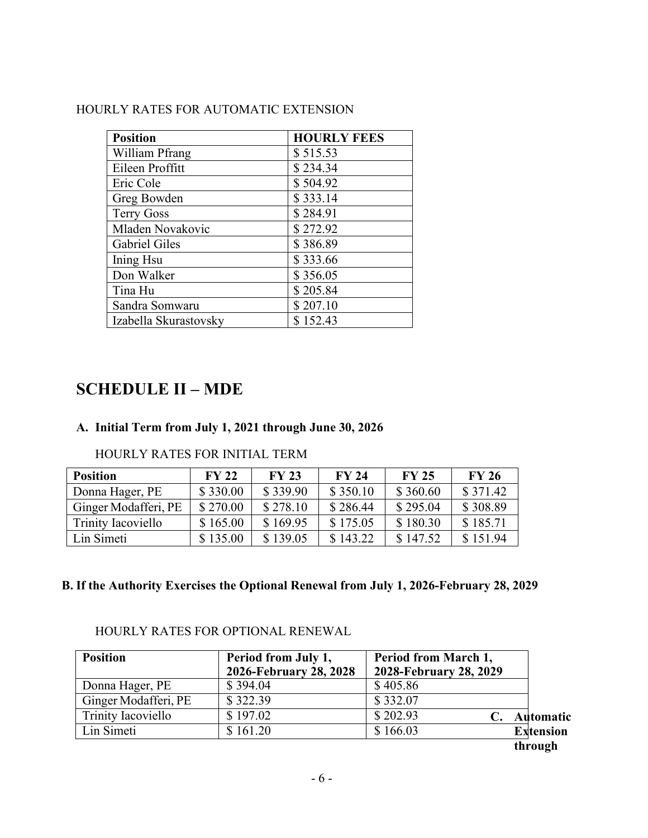# HOURLY RATES FOR AUTOMATIC EXTENSION

| <b>Position</b>       | <b>HOURLY FEES</b> |
|-----------------------|--------------------|
| William Pfrang        | \$515.53           |
| Eileen Proffitt       | \$234.34           |
| Eric Cole             | \$504.92           |
| Greg Bowden           | \$333.14           |
| <b>Terry Goss</b>     | \$284.91           |
| Mladen Novakovic      | \$272.92           |
| <b>Gabriel Giles</b>  | \$386.89           |
| Ining Hsu             | \$333.66           |
| Don Walker            | \$356.05           |
| Tina Hu               | \$205.84           |
| Sandra Somwaru        | \$207.10           |
| Izabella Skurastovsky | \$152.43           |

# **SCHEDULE II – MDE**

# **A. Initial Term from July 1, 2021 through June 30, 2026**

# HOURLY RATES FOR INITIAL TERM

| <b>Position</b>      | <b>FY 22</b> | <b>FY 23</b> | <b>FY 24</b> | <b>FY 25</b> | <b>FY 26</b> |
|----------------------|--------------|--------------|--------------|--------------|--------------|
| Donna Hager, PE      | \$330.00     | \$339.90     | \$350.10     | \$360.60     | \$371.42     |
| Ginger Modafferi, PE | \$270.00     | \$278.10     | \$286.44     | \$295.04     | \$308.89     |
| Trinity Iacoviello   | \$165.00     | \$169.95     | \$175.05     | \$180.30     | \$185.71     |
| Lin Simeti           | \$135.00     | \$139.05     | \$143.22     | \$147.52     | \$151.94     |

# **B. If the Authority Exercises the Optional Renewal from July 1, 2026-February 28, 2029**

| <b>Position</b>      | Period from July 1,<br>2026-February 28, 2028 | Period from March 1,<br>2028-February 28, 2029 |                  |
|----------------------|-----------------------------------------------|------------------------------------------------|------------------|
| Donna Hager, PE      | \$394.04                                      | \$405.86                                       |                  |
| Ginger Modafferi, PE | \$322.39                                      | \$332.07                                       |                  |
| Trinity Iacoviello   | \$197.02                                      | \$202.93                                       | <b>Automatic</b> |
| Lin Simeti           | \$161.20                                      | \$166.03                                       | <b>Extension</b> |
|                      |                                               |                                                | through          |

## HOURLY RATES FOR OPTIONAL RENEWAL